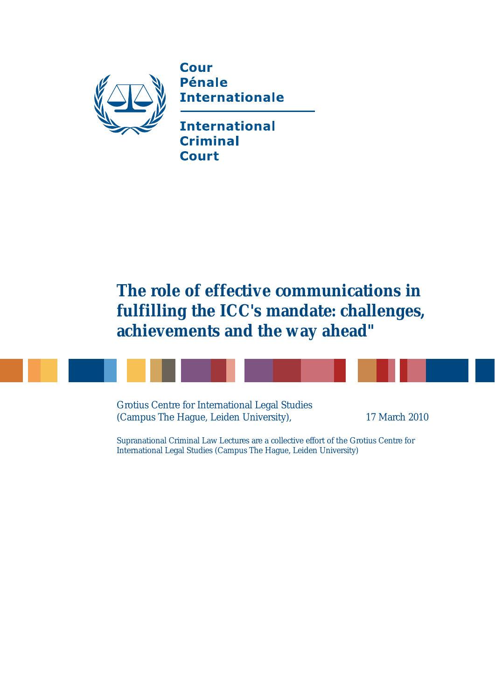

Cour **Pénale Internationale** 

**International Criminal Court** 

**The role of effective communications in fulfilling the ICC's mandate: challenges, achievements and the way ahead"**

Grotius Centre for International Legal Studies (Campus The Hague, Leiden University), 17 March 2010

Supranational Criminal Law Lectures are a collective effort of the Grotius Centre for International Legal Studies (Campus The Hague, Leiden University)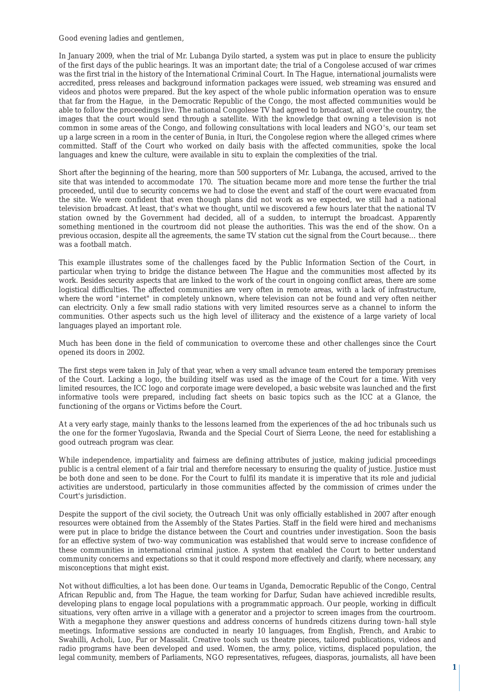Good evening ladies and gentlemen,

In January 2009, when the trial of Mr. Lubanga Dyilo started, a system was put in place to ensure the publicity of the first days of the public hearings. It was an important date; the trial of a Congolese accused of war crimes was the first trial in the history of the International Criminal Court. In The Hague, international journalists were accredited, press releases and background information packages were issued, web streaming was ensured and videos and photos were prepared. But the key aspect of the whole public information operation was to ensure that far from the Hague, in the Democratic Republic of the Congo, the most affected communities would be able to follow the proceedings live. The national Congolese TV had agreed to broadcast, all over the country, the images that the court would send through a satellite. With the knowledge that owning a television is not common in some areas of the Congo, and following consultations with local leaders and NGO's, our team set up a large screen in a room in the center of Bunia, in Ituri, the Congolese region where the alleged crimes where committed. Staff of the Court who worked on daily basis with the affected communities, spoke the local languages and knew the culture, were available in situ to explain the complexities of the trial.

Short after the beginning of the hearing, more than 500 supporters of Mr. Lubanga, the accused, arrived to the site that was intended to accommodate 170. The situation became more and more tense the further the trial proceeded, until due to security concerns we had to close the event and staff of the court were evacuated from the site. We were confident that even though plans did not work as we expected, we still had a national television broadcast. At least, that's what we thought, until we discovered a few hours later that the national TV station owned by the Government had decided, all of a sudden, to interrupt the broadcast. Apparently something mentioned in the courtroom did not please the authorities. This was the end of the show. On a previous occasion, despite all the agreements, the same TV station cut the signal from the Court because… there was a football match.

This example illustrates some of the challenges faced by the Public Information Section of the Court, in particular when trying to bridge the distance between The Hague and the communities most affected by its work. Besides security aspects that are linked to the work of the court in ongoing conflict areas, there are some logistical difficulties. The affected communities are very often in remote areas, with a lack of infrastructure, where the word "internet" in completely unknown, where television can not be found and very often neither can electricity. Only a few small radio stations with very limited resources serve as a channel to inform the communities. Other aspects such us the high level of illiteracy and the existence of a large variety of local languages played an important role.

Much has been done in the field of communication to overcome these and other challenges since the Court opened its doors in 2002.

The first steps were taken in July of that year, when a very small advance team entered the temporary premises of the Court. Lacking a logo, the building itself was used as the image of the Court for a time. With very limited resources, the ICC logo and corporate image were developed, a basic website was launched and the first informative tools were prepared, including fact sheets on basic topics such as the ICC at a Glance, the functioning of the organs or Victims before the Court.

At a very early stage, mainly thanks to the lessons learned from the experiences of the ad hoc tribunals such us the one for the former Yugoslavia, Rwanda and the Special Court of Sierra Leone, the need for establishing a good outreach program was clear.

While independence, impartiality and fairness are defining attributes of justice, making judicial proceedings public is a central element of a fair trial and therefore necessary to ensuring the quality of justice. Justice must be both done and seen to be done. For the Court to fulfil its mandate it is imperative that its role and judicial activities are understood, particularly in those communities affected by the commission of crimes under the Court's jurisdiction.

Despite the support of the civil society, the Outreach Unit was only officially established in 2007 after enough resources were obtained from the Assembly of the States Parties. Staff in the field were hired and mechanisms were put in place to bridge the distance between the Court and countries under investigation. Soon the basis for an effective system of two-way communication was established that would serve to increase confidence of these communities in international criminal justice. A system that enabled the Court to better understand community concerns and expectations so that it could respond more effectively and clarify, where necessary, any misconceptions that might exist.

Not without difficulties, a lot has been done. Our teams in Uganda, Democratic Republic of the Congo, Central African Republic and, from The Hague, the team working for Darfur, Sudan have achieved incredible results, developing plans to engage local populations with a programmatic approach. Our people, working in difficult situations, very often arrive in a village with a generator and a projector to screen images from the courtroom. With a megaphone they answer questions and address concerns of hundreds citizens during town-hall style meetings. Informative sessions are conducted in nearly 10 languages, from English, French, and Arabic to Swahilli, Acholi, Luo, Fur or Massalit. Creative tools such us theatre pieces, tailored publications, videos and radio programs have been developed and used. Women, the army, police, victims, displaced population, the legal community, members of Parliaments, NGO representatives, refugees, diasporas, journalists, all have been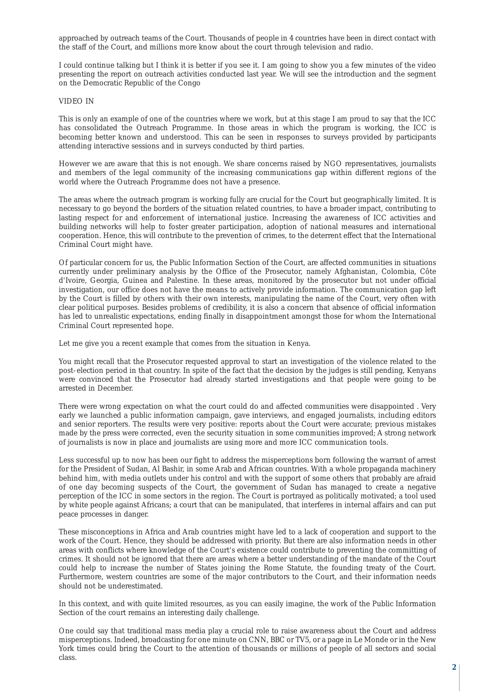approached by outreach teams of the Court. Thousands of people in 4 countries have been in direct contact with the staff of the Court, and millions more know about the court through television and radio.

I could continue talking but I think it is better if you see it. I am going to show you a few minutes of the video presenting the report on outreach activities conducted last year. We will see the introduction and the segment on the Democratic Republic of the Congo

## VIDEO IN

This is only an example of one of the countries where we work, but at this stage I am proud to say that the ICC has consolidated the Outreach Programme. In those areas in which the program is working, the ICC is becoming better known and understood. This can be seen in responses to surveys provided by participants attending interactive sessions and in surveys conducted by third parties.

However we are aware that this is not enough. We share concerns raised by NGO representatives, journalists and members of the legal community of the increasing communications gap within different regions of the world where the Outreach Programme does not have a presence.

The areas where the outreach program is working fully are crucial for the Court but geographically limited. It is necessary to go beyond the borders of the situation related countries, to have a broader impact, contributing to lasting respect for and enforcement of international justice. Increasing the awareness of ICC activities and building networks will help to foster greater participation, adoption of national measures and international cooperation. Hence, this will contribute to the prevention of crimes, to the deterrent effect that the International Criminal Court might have.

Of particular concern for us, the Public Information Section of the Court, are affected communities in situations currently under preliminary analysis by the Office of the Prosecutor, namely Afghanistan, Colombia, Côte d'Ivoire, Georgia, Guinea and Palestine. In these areas, monitored by the prosecutor but not under official investigation, our office does not have the means to actively provide information. The communication gap left by the Court is filled by others with their own interests, manipulating the name of the Court, very often with clear political purposes. Besides problems of credibility, it is also a concern that absence of official information has led to unrealistic expectations, ending finally in disappointment amongst those for whom the International Criminal Court represented hope.

Let me give you a recent example that comes from the situation in Kenya.

You might recall that the Prosecutor requested approval to start an investigation of the violence related to the post-election period in that country. In spite of the fact that the decision by the judges is still pending, Kenyans were convinced that the Prosecutor had already started investigations and that people were going to be arrested in December.

There were wrong expectation on what the court could do and affected communities were disappointed . Very early we launched a public information campaign, gave interviews, and engaged journalists, including editors and senior reporters. The results were very positive: reports about the Court were accurate; previous mistakes made by the press were corrected, even the security situation in some communities improved; A strong network of journalists is now in place and journalists are using more and more ICC communication tools.

Less successful up to now has been our fight to address the misperceptions born following the warrant of arrest for the President of Sudan, Al Bashir, in some Arab and African countries. With a whole propaganda machinery behind him, with media outlets under his control and with the support of some others that probably are afraid of one day becoming suspects of the Court, the government of Sudan has managed to create a negative perception of the ICC in some sectors in the region. The Court is portrayed as politically motivated; a tool used by white people against Africans; a court that can be manipulated, that interferes in internal affairs and can put peace processes in danger.

These misconceptions in Africa and Arab countries might have led to a lack of cooperation and support to the work of the Court. Hence, they should be addressed with priority. But there are also information needs in other areas with conflicts where knowledge of the Court's existence could contribute to preventing the committing of crimes. It should not be ignored that there are areas where a better understanding of the mandate of the Court could help to increase the number of States joining the Rome Statute, the founding treaty of the Court. Furthermore, western countries are some of the major contributors to the Court, and their information needs should not be underestimated.

In this context, and with quite limited resources, as you can easily imagine, the work of the Public Information Section of the court remains an interesting daily challenge.

One could say that traditional mass media play a crucial role to raise awareness about the Court and address misperceptions. Indeed, broadcasting for one minute on CNN, BBC or TV5, or a page in Le Monde or in the New York times could bring the Court to the attention of thousands or millions of people of all sectors and social class.